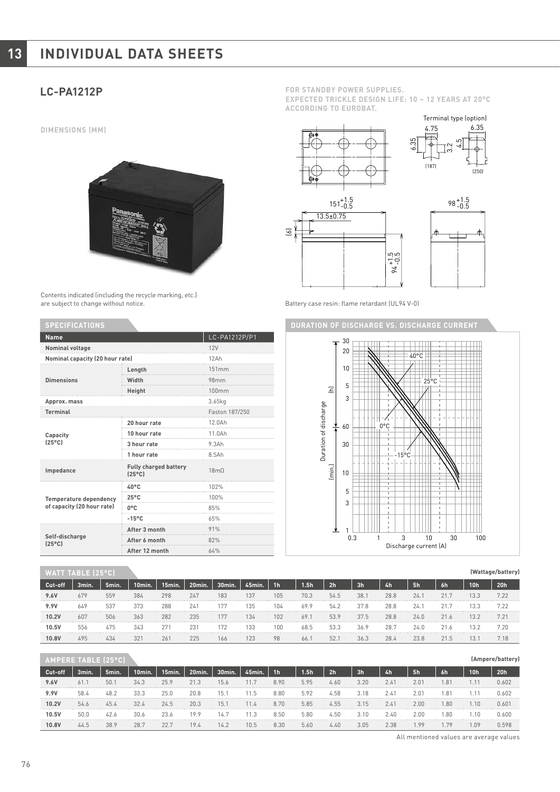# **13 INDIVIDUAL DATA SHEETS**

**DIMENSIONS (MM)**



Contents indicated (including the recycle marking, etc.) are subject to change without notice.

| <b>SPECIFICATIONS</b>                                       |                                                 |                  |  |  |  |  |  |
|-------------------------------------------------------------|-------------------------------------------------|------------------|--|--|--|--|--|
| <b>Name</b>                                                 | LC-PA1212P/P1                                   |                  |  |  |  |  |  |
| <b>Nominal voltage</b>                                      | 12V                                             |                  |  |  |  |  |  |
| Nominal capacity (20 hour rate)                             |                                                 | 12Ah             |  |  |  |  |  |
|                                                             | Length                                          | 151mm            |  |  |  |  |  |
| <b>Dimensions</b>                                           | Width                                           | 98 <sub>mm</sub> |  |  |  |  |  |
|                                                             | Height                                          | 100mm            |  |  |  |  |  |
| Approx. mass                                                | 3.65kg                                          |                  |  |  |  |  |  |
| <b>Terminal</b>                                             |                                                 | Faston 187/250   |  |  |  |  |  |
|                                                             | 20 hour rate                                    | 12.0Ah           |  |  |  |  |  |
| Capacity                                                    | 10 hour rate                                    | 11.0Ah           |  |  |  |  |  |
| $[25^{\circ}C]$                                             | 3 hour rate                                     | 9.3Ah            |  |  |  |  |  |
|                                                             | 1 hour rate                                     | 8.5Ah            |  |  |  |  |  |
| Impedance                                                   | <b>Fully charged battery</b><br>$[25^{\circ}C]$ | 18 <sub>m</sub>  |  |  |  |  |  |
|                                                             | $40^{\circ}$ C                                  | 102%             |  |  |  |  |  |
| <b>Temperature dependency</b><br>of capacity (20 hour rate) | $25^{\circ}$ C                                  | 100%             |  |  |  |  |  |
|                                                             | 0°C                                             | 85%              |  |  |  |  |  |
|                                                             | $-15^{\circ}$ C                                 | 65%              |  |  |  |  |  |
|                                                             | After 3 month                                   | 91%              |  |  |  |  |  |
| Self-discharge<br>$[25^{\circ}C]$                           | After 6 month                                   | 82%              |  |  |  |  |  |
|                                                             | After 12 month                                  | 64%              |  |  |  |  |  |

### **WATT TABLE (25°C)**

| Cut-off | 3min. | 5min.      | 10min. | 15min. | 20min.        | 30min. | 45min. | 1h' | .5 <sub>h</sub> | 2h              | 3 <sub>h</sub> | 4h   | 5h   | 6h       | 10h | 20 <sub>h</sub> |
|---------|-------|------------|--------|--------|---------------|--------|--------|-----|-----------------|-----------------|----------------|------|------|----------|-----|-----------------|
| 9.6V    | 679   | 559        | 384    | 298    | 247           | 183    | 137    | 105 | 70.3            | 54.5            | 38.            | 28.8 | 24.  |          |     |                 |
| 9.9V    | 649   | <b>E2'</b> | 373    | 288    | 24'           |        | 135    |     | 69.9            | 54.1            | 37.8           | 28.8 |      |          |     | 7.00            |
| 10.21   | 607   |            | 363    | 282    | 235           |        | 134    | 102 | 69.             | 53.9            | 37.5           | 28.8 | 24.0 | 21.6<br> |     |                 |
| 10.5    | 556   |            | 343    | 271    | $\frac{1}{2}$ |        |        | 100 | 68.5            | $\Gamma$<br>53. | 36.9           | 28.7 | 24.0 |          |     | 7.20            |
| 10.8    | 495   |            |        | 261    | 225           | 166    |        |     | 66.             | 52.             |                | 28.4 | 23.8 |          |     |                 |

| AMPERE TABLE 125 |       |                             |        |        |        |           |        |                |          |                |                |                  |               |              |                 |           |
|------------------|-------|-----------------------------|--------|--------|--------|-----------|--------|----------------|----------|----------------|----------------|------------------|---------------|--------------|-----------------|-----------|
| Cut-off          | 3min. | 5min.                       | 10min. | 15min. | 20min. | 30min.    | 45min. | 1 <sub>h</sub> | .5h      | 2 <sub>h</sub> | 3 <sub>h</sub> | 4h               | 5h            | 6h           | 10 <sub>h</sub> | 20h       |
| 9.6V             | 61.   | 50.                         | 34.3   | 25.9   | 21.3   | 15.6<br>. | L L    | 8.90<br>.      | 5.95<br> | 4.60<br>.      | 3.20<br>.      | 2.4 <sub>1</sub> | $2.0^{\circ}$ | $.8^{\circ}$ |                 | 1.602<br> |
| 9.9V             | 58.4  |                             | 33.3   | 25.0   | 20.8   | 15.       |        | 8.80           | 5.92     | +.58           | 3.18           | Z.4 '            | $2.0^{\circ}$ | $.8^{\circ}$ |                 | . 602     |
| 10.2V            | 54.6  | 45                          |        | 24.5   | 20.3   | 15.       |        |                | 5.85     | 4.55           | 3 15           | 2.4              | 2.00.         | .80          |                 |           |
| 10.5V            | 50.0  | $\frac{1}{2}$ $\frac{1}{2}$ | 30.6   | 23.6   | 1 O O  | 4.<br>.   |        | 8.50           | 5.80     | 4.50           | 3.10           | 2.40<br><b></b>  | 2.00          | .80          |                 |           |
| 10.8V            | 44.5  |                             | 28.    | 22.    | 19.4   | 14.2      | 10.5   | 8.30           | 5.60     | 4 Ar           | 3.05           | 2.38             | .99           | . 79         | 1.09            |           |

**LC-PA1212P FOR STANDBY POWER SUPPLIES.**

**EXPECTED TRICKLE DESIGN LIFE: 10 – 12 YEARS AT 20°C ACCORDING TO EUROBAT.**



Battery case resin: flame retardant (UL94 V-0)



All mentioned values are average values

**(Wattage/battery)**